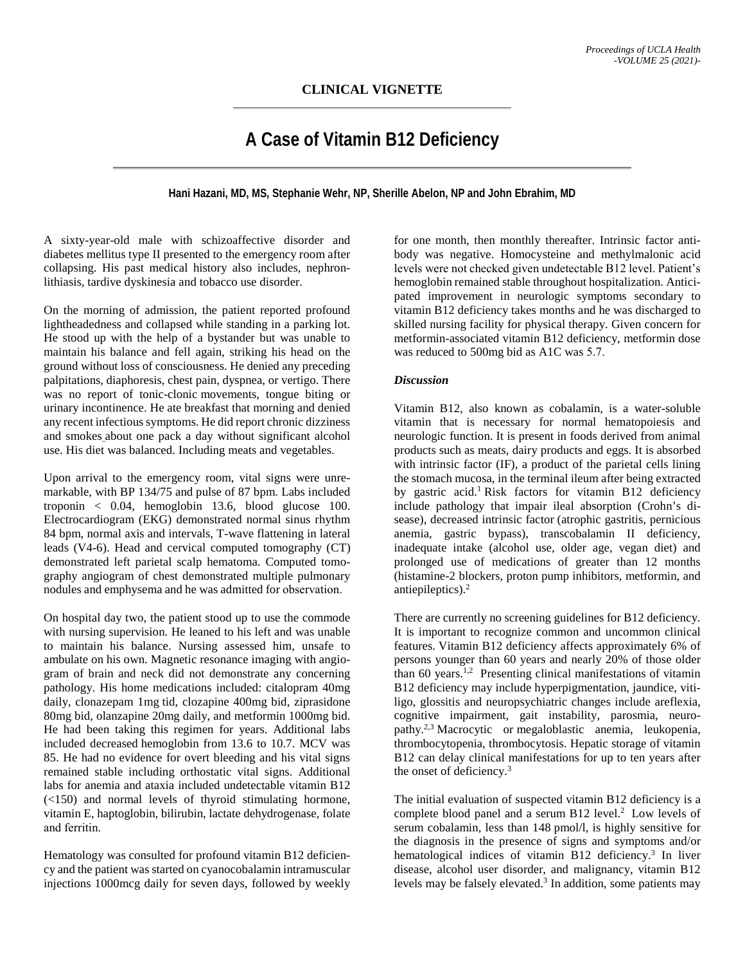## **A Case of Vitamin B12 Deficiency**

**Hani Hazani, MD, MS, Stephanie Wehr, NP, Sherille Abelon, NP and John Ebrahim, MD**

A sixty-year-old male with schizoaffective disorder and diabetes mellitus type II presented to the emergency room after collapsing. His past medical history also includes, nephronlithiasis, tardive dyskinesia and tobacco use disorder. 

On the morning of admission, the patient reported profound lightheadedness and collapsed while standing in a parking lot. He stood up with the help of a bystander but was unable to maintain his balance and fell again, striking his head on the ground without loss of consciousness. He denied any preceding palpitations, diaphoresis, chest pain, dyspnea, or vertigo. There was no report of tonic-clonic movements, tongue biting or urinary incontinence. He ate breakfast that morning and denied any recent infectious symptoms. He did report chronic dizziness and smokes about one pack a day without significant alcohol use. His diet was balanced. Including meats and vegetables.   

Upon arrival to the emergency room, vital signs were unremarkable, with BP 134/75 and pulse of 87 bpm. Labs included troponin < 0.04, hemoglobin 13.6, blood glucose 100. Electrocardiogram (EKG) demonstrated normal sinus rhythm 84 bpm, normal axis and intervals, T-wave flattening in lateral leads (V4-6). Head and cervical computed tomography (CT) demonstrated left parietal scalp hematoma. Computed tomography angiogram of chest demonstrated multiple pulmonary nodules and emphysema and he was admitted for observation.  

On hospital day two, the patient stood up to use the commode with nursing supervision. He leaned to his left and was unable to maintain his balance. Nursing assessed him, unsafe to ambulate on his own. Magnetic resonance imaging with angiogram of brain and neck did not demonstrate any concerning pathology. His home medications included: citalopram 40mg daily, clonazepam 1mg tid, clozapine 400mg bid, ziprasidone 80mg bid, olanzapine 20mg daily, and metformin 1000mg bid. He had been taking this regimen for years. Additional labs included decreased hemoglobin from 13.6 to 10.7. MCV was 85. He had no evidence for overt bleeding and his vital signs remained stable including orthostatic vital signs. Additional labs for anemia and ataxia included undetectable vitamin B12 (<150) and normal levels of thyroid stimulating hormone, vitamin E, haptoglobin, bilirubin, lactate dehydrogenase, folate and ferritin.  

Hematology was consulted for profound vitamin B12 deficiency and the patient was started on cyanocobalamin intramuscular injections 1000mcg daily for seven days, followed by weekly

for one month, then monthly thereafter. Intrinsic factor antibody was negative. Homocysteine and methylmalonic acid levels were not checked given undetectable B12 level. Patient's hemoglobin remained stable throughout hospitalization. Anticipated improvement in neurologic symptoms secondary to vitamin B12 deficiency takes months and he was discharged to skilled nursing facility for physical therapy. Given concern for metformin-associated vitamin B12 deficiency, metformin dose was reduced to 500mg bid as A1C was 5.7.  

## *Discussion*

Vitamin B12, also known as cobalamin, is a water-soluble vitamin that is necessary for normal hematopoiesis and neurologic function. It is present in foods derived from animal products such as meats, dairy products and eggs. It is absorbed with intrinsic factor (IF), a product of the parietal cells lining the stomach mucosa, in the terminal ileum after being extracted by gastric acid.<sup>1</sup> Risk factors for vitamin B12 deficiency include pathology that impair ileal absorption (Crohn's disease), decreased intrinsic factor (atrophic gastritis, pernicious anemia, gastric bypass), transcobalamin II deficiency, inadequate intake (alcohol use, older age, vegan diet) and prolonged use of medications of greater than 12 months (histamine-2 blockers, proton pump inhibitors, metformin, and antiepileptics). 2

There are currently no screening guidelines for B12 deficiency. It is important to recognize common and uncommon clinical features. Vitamin B12 deficiency affects approximately 6% of persons younger than 60 years and nearly 20% of those older than 60 years.<sup>1,2</sup> Presenting clinical manifestations of vitamin B12 deficiency may include hyperpigmentation, jaundice, vitiligo, glossitis and neuropsychiatric changes include areflexia, cognitive impairment, gait instability, parosmia, neuropathy. 2,3 Macrocytic or megaloblastic anemia, leukopenia, thrombocytopenia, thrombocytosis. Hepatic storage of vitamin B12 can delay clinical manifestations for up to ten years after the onset of deficiency. 3

The initial evaluation of suspected vitamin B12 deficiency is a complete blood panel and a serum B12 level. <sup>2</sup> Low levels of serum cobalamin, less than 148 pmol/l, is highly sensitive for the diagnosis in the presence of signs and symptoms and/or hematological indices of vitamin B12 deficiency. <sup>3</sup> In liver disease, alcohol user disorder, and malignancy, vitamin B12 levels may be falsely elevated. <sup>3</sup> In addition, some patients may